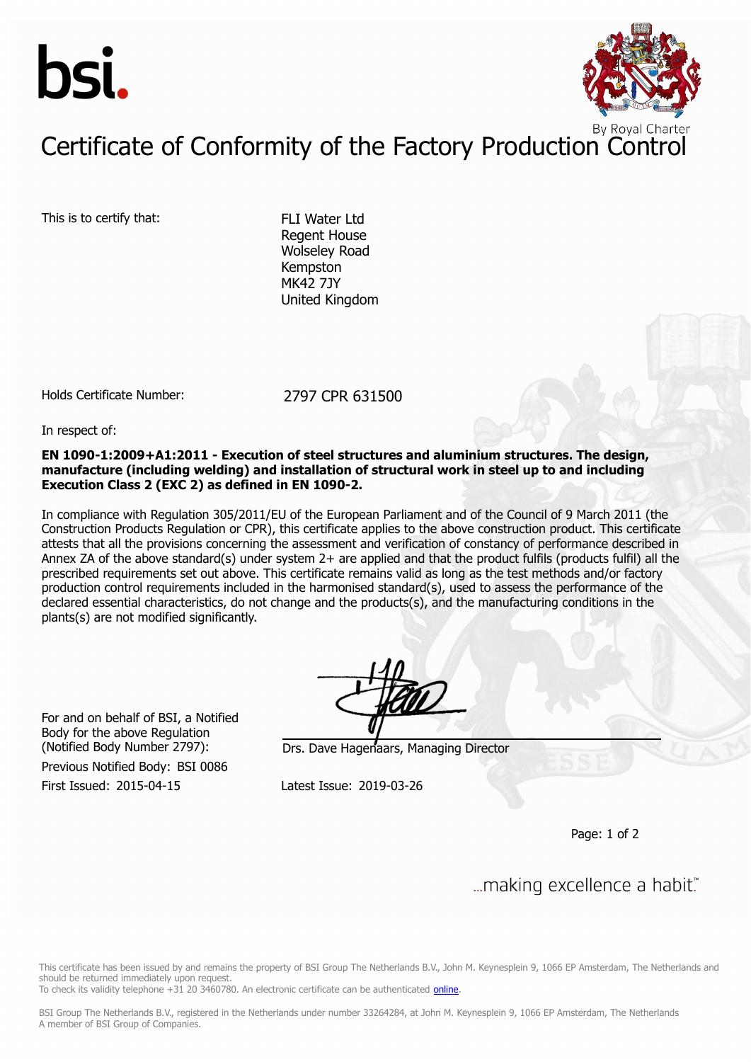



## Certificate of Conformity of the Factory Production Control

This is to certify that: FLI Water Ltd

Regent House Wolseley Road Kempston MK42 7JY United Kingdom

Holds Certificate Number: 2797 CPR 631500

In respect of:

**EN 1090-1:2009+A1:2011 - Execution of steel structures and aluminium structures. The design, manufacture (including welding) and installation of structural work in steel up to and including Execution Class 2 (EXC 2) as defined in EN 1090-2.**

In compliance with Regulation 305/2011/EU of the European Parliament and of the Council of 9 March 2011 (the Construction Products Regulation or CPR), this certificate applies to the above construction product. This certificate attests that all the provisions concerning the assessment and verification of constancy of performance described in Annex ZA of the above standard(s) under system 2+ are applied and that the product fulfils (products fulfil) all the prescribed requirements set out above. This certificate remains valid as long as the test methods and/or factory production control requirements included in the harmonised standard(s), used to assess the performance of the declared essential characteristics, do not change and the products(s), and the manufacturing conditions in the plants(s) are not modified significantly.

For and on behalf of BSI, a Notified Body for the above Regulation

First Issued: 2015-04-15 Latest Issue: 2019-03-26 Previous Notified Body: BSI 0086

(Notified Body Number 2797): Drs. Dave Hagenaars, Managing Director

Page: 1 of 2

... making excellence a habit."

This certificate has been issued by and remains the property of BSI Group The Netherlands B.V., John M. Keynesplein 9, 1066 EP Amsterdam, The Netherlands and should be returned immediately upon request.

To check its validity telephone +31 20 3460780. An electronic certificate can be authenticated [online.](https://pgplus.bsigroup.com/CertificateValidation/CertificateValidator.aspx?CertificateNumber=CPR 631500&ReIssueDate=26/03/2019&Template=uk)

BSI Group The Netherlands B.V., registered in the Netherlands under number 33264284, at John M. Keynesplein 9, 1066 EP Amsterdam, The Netherlands A member of BSI Group of Companies.